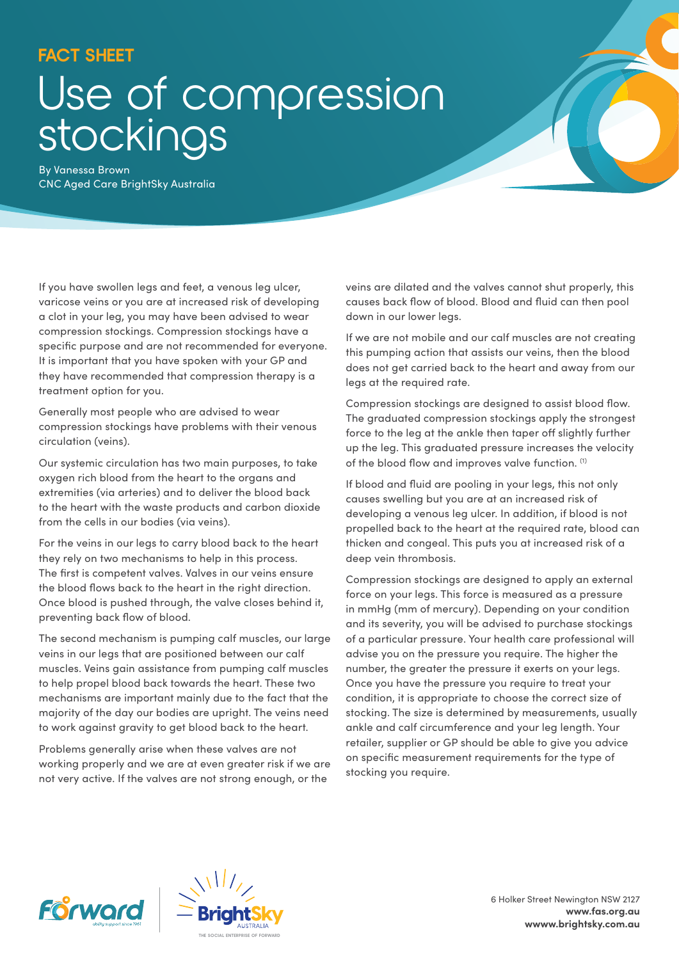## **FACT SHEET**

## Use of compression stockings

By Vanessa Brown CNC Aged Care BrightSky Australia

If you have swollen legs and feet, a venous leg ulcer, varicose veins or you are at increased risk of developing a clot in your leg, you may have been advised to wear compression stockings. Compression stockings have a specific purpose and are not recommended for everyone. It is important that you have spoken with your GP and they have recommended that compression therapy is a treatment option for you.

Generally most people who are advised to wear compression stockings have problems with their venous circulation (veins).

Our systemic circulation has two main purposes, to take oxygen rich blood from the heart to the organs and extremities (via arteries) and to deliver the blood back to the heart with the waste products and carbon dioxide from the cells in our bodies (via veins).

For the veins in our legs to carry blood back to the heart they rely on two mechanisms to help in this process. The first is competent valves. Valves in our veins ensure the blood flows back to the heart in the right direction. Once blood is pushed through, the valve closes behind it, preventing back flow of blood.

The second mechanism is pumping calf muscles, our large veins in our legs that are positioned between our calf muscles. Veins gain assistance from pumping calf muscles to help propel blood back towards the heart. These two mechanisms are important mainly due to the fact that the majority of the day our bodies are upright. The veins need to work against gravity to get blood back to the heart.

Problems generally arise when these valves are not working properly and we are at even greater risk if we are not very active. If the valves are not strong enough, or the

veins are dilated and the valves cannot shut properly, this causes back flow of blood. Blood and fluid can then pool down in our lower legs.

If we are not mobile and our calf muscles are not creating this pumping action that assists our veins, then the blood does not get carried back to the heart and away from our legs at the required rate.

Compression stockings are designed to assist blood flow. The graduated compression stockings apply the strongest force to the leg at the ankle then taper off slightly further up the leg. This graduated pressure increases the velocity of the blood flow and improves valve function. (1)

If blood and fluid are pooling in your legs, this not only causes swelling but you are at an increased risk of developing a venous leg ulcer. In addition, if blood is not propelled back to the heart at the required rate, blood can thicken and congeal. This puts you at increased risk of a deep vein thrombosis.

Compression stockings are designed to apply an external force on your legs. This force is measured as a pressure in mmHg (mm of mercury). Depending on your condition and its severity, you will be advised to purchase stockings of a particular pressure. Your health care professional will advise you on the pressure you require. The higher the number, the greater the pressure it exerts on your legs. Once you have the pressure you require to treat your condition, it is appropriate to choose the correct size of stocking. The size is determined by measurements, usually ankle and calf circumference and your leg length. Your retailer, supplier or GP should be able to give you advice on specific measurement requirements for the type of stocking you require.





6 Holker Street Newington NSW 2127 **www.fas.org.au wwww.brightsky.com.au**